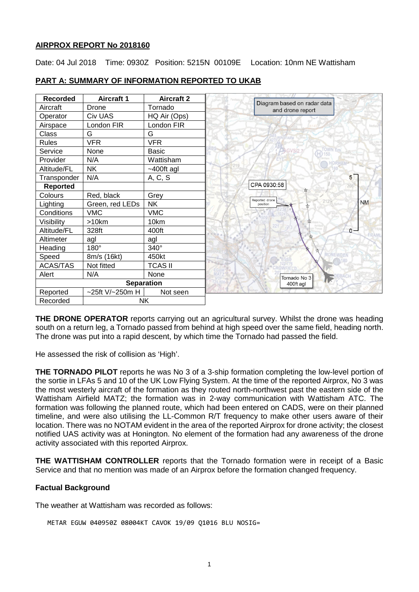## **AIRPROX REPORT No 2018160**

Date: 04 Jul 2018 Time: 0930Z Position: 5215N 00109E Location: 10nm NE Wattisham

| <b>Recorded</b> | <b>Aircraft 1</b> | <b>Aircraft 2</b> |
|-----------------|-------------------|-------------------|
| Aircraft        | Drone             | Tornado           |
| Operator        | <b>Civ UAS</b>    | HQ Air (Ops)      |
| Airspace        | London FIR        | London FIR        |
| Class           | G                 | G                 |
| <b>Rules</b>    | <b>VFR</b>        | <b>VFR</b>        |
| Service         | <b>None</b>       | <b>Basic</b>      |
| Provider        | N/A               | Wattisham         |
| Altitude/FL     | NΚ                | $~100$ ft agl     |
| Transponder     | N/A               | A, C, S           |
| Reported        |                   |                   |
| Colours         | Red, black        | Grey              |
| Lighting        | Green, red LEDs   | <b>NK</b>         |
| Conditions      | <b>VMC</b>        | <b>VMC</b>        |
| Visibility      | >10km             | 10km              |
| Altitude/FL     | 328ft             | 400ft             |
| Altimeter       | agl               | agl               |
| Heading         | $180^\circ$       | $340^\circ$       |
| Speed           | 8m/s (16kt)       | 450kt             |
| <b>ACAS/TAS</b> | Not fitted        | <b>TCAS II</b>    |
| Alert           | N/A               | None              |
|                 |                   | <b>Separation</b> |
| Reported        | ~25ft V/~250m H   | Not seen          |
| Recorded        |                   | <b>NK</b>         |

# **PART A: SUMMARY OF INFORMATION REPORTED TO UKAB**

**THE DRONE OPERATOR** reports carrying out an agricultural survey. Whilst the drone was heading south on a return leg, a Tornado passed from behind at high speed over the same field, heading north. The drone was put into a rapid descent, by which time the Tornado had passed the field.

He assessed the risk of collision as 'High'.

**THE TORNADO PILOT** reports he was No 3 of a 3-ship formation completing the low-level portion of the sortie in LFAs 5 and 10 of the UK Low Flying System. At the time of the reported Airprox, No 3 was the most westerly aircraft of the formation as they routed north-northwest past the eastern side of the Wattisham Airfield MATZ; the formation was in 2-way communication with Wattisham ATC. The formation was following the planned route, which had been entered on CADS, were on their planned timeline, and were also utilising the LL-Common R/T frequency to make other users aware of their location. There was no NOTAM evident in the area of the reported Airprox for drone activity; the closest notified UAS activity was at Honington. No element of the formation had any awareness of the drone activity associated with this reported Airprox.

**THE WATTISHAM CONTROLLER** reports that the Tornado formation were in receipt of a Basic Service and that no mention was made of an Airprox before the formation changed frequency.

# **Factual Background**

The weather at Wattisham was recorded as follows:

```
METAR EGUW 040950Z 08004KT CAVOK 19/09 Q1016 BLU NOSIG=
```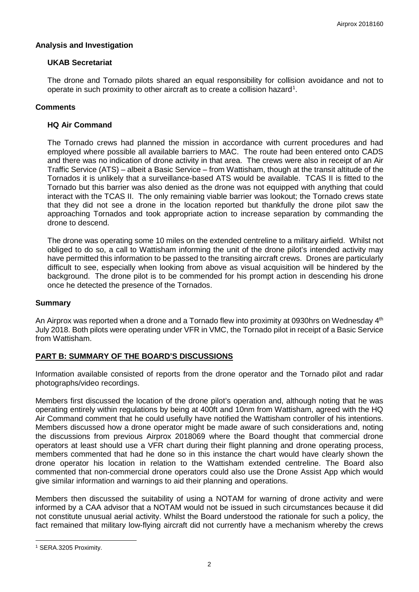## **Analysis and Investigation**

# **UKAB Secretariat**

The drone and Tornado pilots shared an equal responsibility for collision avoidance and not to operate in such proximity to other aircraft as to create a collision hazard<sup>[1](#page-1-0)</sup>.

## **Comments**

## **HQ Air Command**

The Tornado crews had planned the mission in accordance with current procedures and had employed where possible all available barriers to MAC. The route had been entered onto CADS and there was no indication of drone activity in that area. The crews were also in receipt of an Air Traffic Service (ATS) – albeit a Basic Service – from Wattisham, though at the transit altitude of the Tornados it is unlikely that a surveillance-based ATS would be available. TCAS II is fitted to the Tornado but this barrier was also denied as the drone was not equipped with anything that could interact with the TCAS II. The only remaining viable barrier was lookout; the Tornado crews state that they did not see a drone in the location reported but thankfully the drone pilot saw the approaching Tornados and took appropriate action to increase separation by commanding the drone to descend.

The drone was operating some 10 miles on the extended centreline to a military airfield. Whilst not obliged to do so, a call to Wattisham informing the unit of the drone pilot's intended activity may have permitted this information to be passed to the transiting aircraft crews. Drones are particularly difficult to see, especially when looking from above as visual acquisition will be hindered by the background. The drone pilot is to be commended for his prompt action in descending his drone once he detected the presence of the Tornados.

#### **Summary**

An Airprox was reported when a drone and a Tornado flew into proximity at 0930hrs on Wednesday 4<sup>th</sup> July 2018. Both pilots were operating under VFR in VMC, the Tornado pilot in receipt of a Basic Service from Wattisham.

# **PART B: SUMMARY OF THE BOARD'S DISCUSSIONS**

Information available consisted of reports from the drone operator and the Tornado pilot and radar photographs/video recordings.

Members first discussed the location of the drone pilot's operation and, although noting that he was operating entirely within regulations by being at 400ft and 10nm from Wattisham, agreed with the HQ Air Command comment that he could usefully have notified the Wattisham controller of his intentions. Members discussed how a drone operator might be made aware of such considerations and, noting the discussions from previous Airprox 2018069 where the Board thought that commercial drone operators at least should use a VFR chart during their flight planning and drone operating process, members commented that had he done so in this instance the chart would have clearly shown the drone operator his location in relation to the Wattisham extended centreline. The Board also commented that non-commercial drone operators could also use the Drone Assist App which would give similar information and warnings to aid their planning and operations.

Members then discussed the suitability of using a NOTAM for warning of drone activity and were informed by a CAA advisor that a NOTAM would not be issued in such circumstances because it did not constitute unusual aerial activity. Whilst the Board understood the rationale for such a policy, the fact remained that military low-flying aircraft did not currently have a mechanism whereby the crews

 $\overline{\phantom{a}}$ 

<span id="page-1-0"></span><sup>1</sup> SERA.3205 Proximity.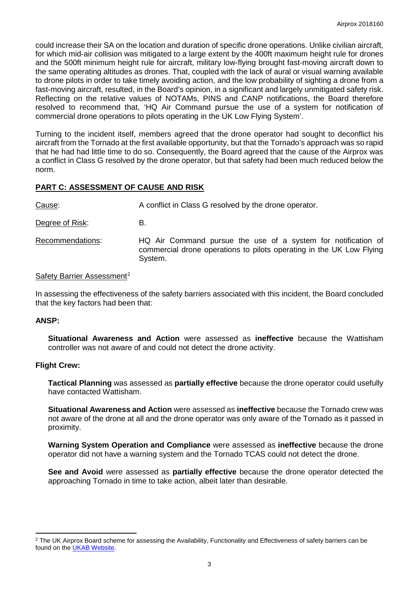could increase their SA on the location and duration of specific drone operations. Unlike civilian aircraft, for which mid-air collision was mitigated to a large extent by the 400ft maximum height rule for drones and the 500ft minimum height rule for aircraft, military low-flying brought fast-moving aircraft down to the same operating altitudes as drones. That, coupled with the lack of aural or visual warning available to drone pilots in order to take timely avoiding action, and the low probability of sighting a drone from a fast-moving aircraft, resulted, in the Board's opinion, in a significant and largely unmitigated safety risk. Reflecting on the relative values of NOTAMs, PINS and CANP notifications, the Board therefore resolved to recommend that, 'HQ Air Command pursue the use of a system for notification of commercial drone operations to pilots operating in the UK Low Flying System'.

Turning to the incident itself, members agreed that the drone operator had sought to deconflict his aircraft from the Tornado at the first available opportunity, but that the Tornado's approach was so rapid that he had had little time to do so. Consequently, the Board agreed that the cause of the Airprox was a conflict in Class G resolved by the drone operator, but that safety had been much reduced below the norm.

# **PART C: ASSESSMENT OF CAUSE AND RISK**

Cause: A conflict in Class G resolved by the drone operator.

Degree of Risk: B.

Recommendations: HQ Air Command pursue the use of a system for notification of commercial drone operations to pilots operating in the UK Low Flying System.

#### Safety Barrier Assessment<sup>[2](#page-2-0)</sup>

In assessing the effectiveness of the safety barriers associated with this incident, the Board concluded that the key factors had been that:

### **ANSP:**

l

**Situational Awareness and Action** were assessed as **ineffective** because the Wattisham controller was not aware of and could not detect the drone activity.

#### **Flight Crew:**

**Tactical Planning** was assessed as **partially effective** because the drone operator could usefully have contacted Wattisham.

**Situational Awareness and Action** were assessed as **ineffective** because the Tornado crew was not aware of the drone at all and the drone operator was only aware of the Tornado as it passed in proximity.

**Warning System Operation and Compliance** were assessed as **ineffective** because the drone operator did not have a warning system and the Tornado TCAS could not detect the drone.

**See and Avoid** were assessed as **partially effective** because the drone operator detected the approaching Tornado in time to take action, albeit later than desirable.

<span id="page-2-0"></span><sup>&</sup>lt;sup>2</sup> The UK Airprox Board scheme for assessing the Availability, Functionality and Effectiveness of safety barriers can be found on the [UKAB Website.](http://www.airproxboard.org.uk/Learn-more/Airprox-Barrier-Assessment/)